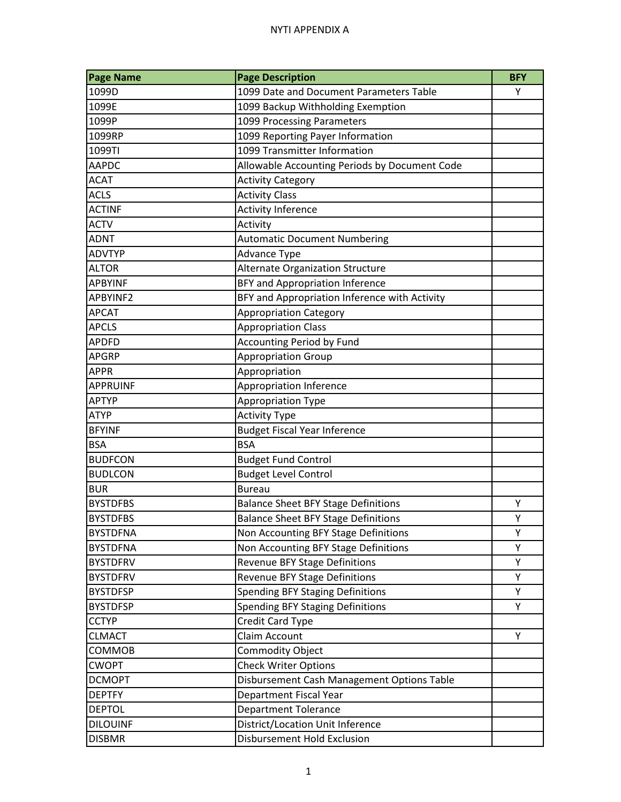## NYTI APPENDIX A

| <b>Page Name</b> | <b>Page Description</b>                       | <b>BFY</b> |
|------------------|-----------------------------------------------|------------|
| 1099D            | 1099 Date and Document Parameters Table       | Υ          |
| 1099E            | 1099 Backup Withholding Exemption             |            |
| 1099P            | 1099 Processing Parameters                    |            |
| 1099RP           | 1099 Reporting Payer Information              |            |
| 1099TI           | 1099 Transmitter Information                  |            |
| <b>AAPDC</b>     | Allowable Accounting Periods by Document Code |            |
| <b>ACAT</b>      | <b>Activity Category</b>                      |            |
| <b>ACLS</b>      | <b>Activity Class</b>                         |            |
| <b>ACTINF</b>    | <b>Activity Inference</b>                     |            |
| <b>ACTV</b>      | Activity                                      |            |
| <b>ADNT</b>      | <b>Automatic Document Numbering</b>           |            |
| <b>ADVTYP</b>    | <b>Advance Type</b>                           |            |
| <b>ALTOR</b>     | Alternate Organization Structure              |            |
| <b>APBYINF</b>   | BFY and Appropriation Inference               |            |
| APBYINF2         | BFY and Appropriation Inference with Activity |            |
| <b>APCAT</b>     | <b>Appropriation Category</b>                 |            |
| <b>APCLS</b>     | <b>Appropriation Class</b>                    |            |
| <b>APDFD</b>     | <b>Accounting Period by Fund</b>              |            |
| <b>APGRP</b>     | <b>Appropriation Group</b>                    |            |
| <b>APPR</b>      | Appropriation                                 |            |
| <b>APPRUINF</b>  | <b>Appropriation Inference</b>                |            |
| <b>APTYP</b>     | Appropriation Type                            |            |
| <b>ATYP</b>      | <b>Activity Type</b>                          |            |
| <b>BFYINF</b>    | <b>Budget Fiscal Year Inference</b>           |            |
| <b>BSA</b>       | <b>BSA</b>                                    |            |
| <b>BUDFCON</b>   | <b>Budget Fund Control</b>                    |            |
| <b>BUDLCON</b>   | <b>Budget Level Control</b>                   |            |
| <b>BUR</b>       | <b>Bureau</b>                                 |            |
| <b>BYSTDFBS</b>  | <b>Balance Sheet BFY Stage Definitions</b>    | Υ          |
| <b>BYSTDFBS</b>  | <b>Balance Sheet BFY Stage Definitions</b>    | Υ          |
| <b>BYSTDFNA</b>  | Non Accounting BFY Stage Definitions          | Υ          |
| <b>BYSTDFNA</b>  | Non Accounting BFY Stage Definitions          | Υ          |
| <b>BYSTDFRV</b>  | <b>Revenue BFY Stage Definitions</b>          | Υ          |
| <b>BYSTDFRV</b>  | <b>Revenue BFY Stage Definitions</b>          | Υ          |
| <b>BYSTDFSP</b>  | <b>Spending BFY Staging Definitions</b>       | Υ          |
| <b>BYSTDFSP</b>  | <b>Spending BFY Staging Definitions</b>       | Υ          |
| <b>CCTYP</b>     | Credit Card Type                              |            |
| <b>CLMACT</b>    | Claim Account                                 | Υ          |
| COMMOB           | <b>Commodity Object</b>                       |            |
| <b>CWOPT</b>     | <b>Check Writer Options</b>                   |            |
| <b>DCMOPT</b>    | Disbursement Cash Management Options Table    |            |
| <b>DEPTFY</b>    | <b>Department Fiscal Year</b>                 |            |
| <b>DEPTOL</b>    | <b>Department Tolerance</b>                   |            |
| <b>DILOUINF</b>  | District/Location Unit Inference              |            |
| <b>DISBMR</b>    | Disbursement Hold Exclusion                   |            |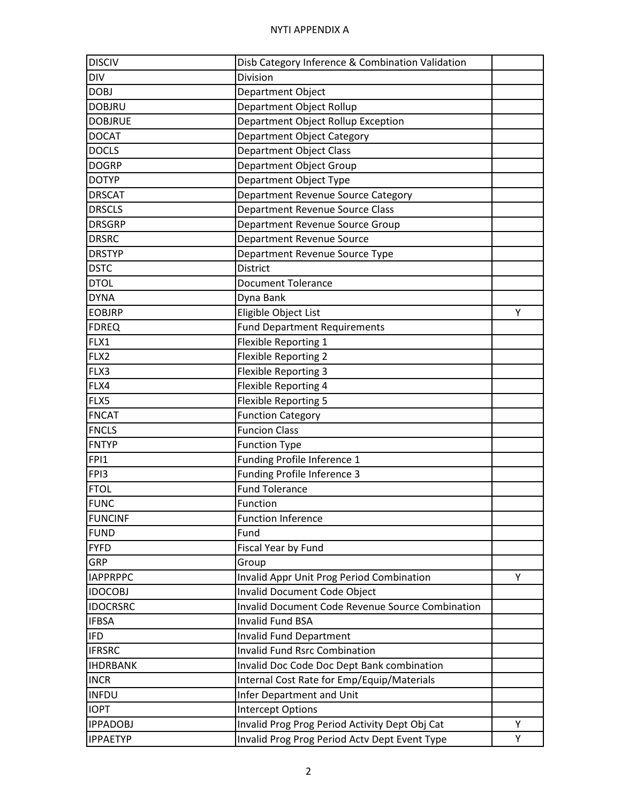| <b>DISCIV</b>   | Disb Category Inference & Combination Validation |   |
|-----------------|--------------------------------------------------|---|
| <b>DIV</b>      | Division                                         |   |
| <b>DOBJ</b>     | Department Object                                |   |
| <b>DOBJRU</b>   | Department Object Rollup                         |   |
| <b>DOBJRUE</b>  | Department Object Rollup Exception               |   |
| <b>DOCAT</b>    | Department Object Category                       |   |
| <b>DOCLS</b>    | <b>Department Object Class</b>                   |   |
| <b>DOGRP</b>    | Department Object Group                          |   |
| <b>DOTYP</b>    | Department Object Type                           |   |
| <b>DRSCAT</b>   | Department Revenue Source Category               |   |
| <b>DRSCLS</b>   | <b>Department Revenue Source Class</b>           |   |
| <b>DRSGRP</b>   | Department Revenue Source Group                  |   |
| <b>DRSRC</b>    | Department Revenue Source                        |   |
| <b>DRSTYP</b>   | Department Revenue Source Type                   |   |
| <b>DSTC</b>     | <b>District</b>                                  |   |
| <b>DTOL</b>     | <b>Document Tolerance</b>                        |   |
| <b>DYNA</b>     | Dyna Bank                                        |   |
| <b>EOBJRP</b>   | Eligible Object List                             | Υ |
| <b>FDREQ</b>    | <b>Fund Department Requirements</b>              |   |
| FLX1            | Flexible Reporting 1                             |   |
| FLX2            | <b>Flexible Reporting 2</b>                      |   |
| FLX3            | <b>Flexible Reporting 3</b>                      |   |
| FLX4            | <b>Flexible Reporting 4</b>                      |   |
| FLX5            | <b>Flexible Reporting 5</b>                      |   |
| <b>FNCAT</b>    | <b>Function Category</b>                         |   |
| <b>FNCLS</b>    | <b>Funcion Class</b>                             |   |
| <b>FNTYP</b>    | <b>Function Type</b>                             |   |
| FPI1            | Funding Profile Inference 1                      |   |
| FPI3            | Funding Profile Inference 3                      |   |
| <b>FTOL</b>     | <b>Fund Tolerance</b>                            |   |
| <b>FUNC</b>     | Function                                         |   |
| <b>FUNCINF</b>  | <b>Function Inference</b>                        |   |
| <b>FUND</b>     | Fund                                             |   |
| <b>FYFD</b>     | Fiscal Year by Fund                              |   |
| GRP             | Group                                            |   |
| <b>IAPPRPPC</b> | Invalid Appr Unit Prog Period Combination        | Y |
| <b>IDOCOBJ</b>  | <b>Invalid Document Code Object</b>              |   |
| <b>IDOCRSRC</b> | Invalid Document Code Revenue Source Combination |   |
| <b>IFBSA</b>    | <b>Invalid Fund BSA</b>                          |   |
| <b>IFD</b>      | <b>Invalid Fund Department</b>                   |   |
| <b>IFRSRC</b>   | <b>Invalid Fund Rsrc Combination</b>             |   |
| <b>IHDRBANK</b> | Invalid Doc Code Doc Dept Bank combination       |   |
| <b>INCR</b>     | Internal Cost Rate for Emp/Equip/Materials       |   |
| <b>INFDU</b>    | Infer Department and Unit                        |   |
| <b>IOPT</b>     | <b>Intercept Options</b>                         |   |
| <b>IPPADOBJ</b> | Invalid Prog Prog Period Activity Dept Obj Cat   | Υ |
| <b>IPPAETYP</b> | Invalid Prog Prog Period Actv Dept Event Type    | Υ |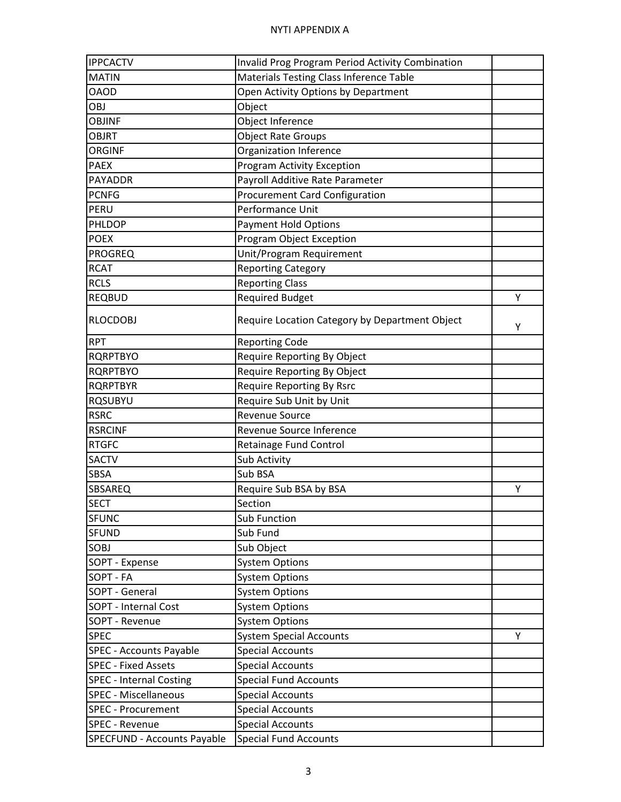| <b>IPPCACTV</b>                    | <b>Invalid Prog Program Period Activity Combination</b> |   |
|------------------------------------|---------------------------------------------------------|---|
| <b>MATIN</b>                       | <b>Materials Testing Class Inference Table</b>          |   |
| <b>OAOD</b>                        | Open Activity Options by Department                     |   |
| OBJ                                | Object                                                  |   |
| <b>OBJINF</b>                      | Object Inference                                        |   |
| <b>OBJRT</b>                       | <b>Object Rate Groups</b>                               |   |
| <b>ORGINF</b>                      | Organization Inference                                  |   |
| <b>PAEX</b>                        | <b>Program Activity Exception</b>                       |   |
| <b>PAYADDR</b>                     | Payroll Additive Rate Parameter                         |   |
| <b>PCNFG</b>                       | <b>Procurement Card Configuration</b>                   |   |
| PERU                               | Performance Unit                                        |   |
| PHLDOP                             | <b>Payment Hold Options</b>                             |   |
| <b>POEX</b>                        | Program Object Exception                                |   |
| <b>PROGREQ</b>                     | Unit/Program Requirement                                |   |
| <b>RCAT</b>                        | <b>Reporting Category</b>                               |   |
| <b>RCLS</b>                        | <b>Reporting Class</b>                                  |   |
| <b>REQBUD</b>                      | <b>Required Budget</b>                                  | Υ |
| <b>RLOCDOBJ</b>                    | Require Location Category by Department Object          | Υ |
| <b>RPT</b>                         | <b>Reporting Code</b>                                   |   |
| <b>RQRPTBYO</b>                    | Require Reporting By Object                             |   |
| <b>RQRPTBYO</b>                    | Require Reporting By Object                             |   |
| <b>RQRPTBYR</b>                    | <b>Require Reporting By Rsrc</b>                        |   |
| <b>RQSUBYU</b>                     | Require Sub Unit by Unit                                |   |
| <b>RSRC</b>                        | <b>Revenue Source</b>                                   |   |
| <b>RSRCINF</b>                     | Revenue Source Inference                                |   |
| <b>RTGFC</b>                       | <b>Retainage Fund Control</b>                           |   |
| <b>SACTV</b>                       | Sub Activity                                            |   |
| <b>SBSA</b>                        | Sub BSA                                                 |   |
| SBSAREQ                            | Require Sub BSA by BSA                                  | Υ |
| <b>SECT</b>                        | Section                                                 |   |
| <b>SFUNC</b>                       | <b>Sub Function</b>                                     |   |
| <b>SFUND</b>                       | Sub Fund                                                |   |
| SOBJ                               | Sub Object                                              |   |
| SOPT - Expense                     | <b>System Options</b>                                   |   |
| SOPT - FA                          | <b>System Options</b>                                   |   |
| SOPT - General                     | <b>System Options</b>                                   |   |
| SOPT - Internal Cost               | <b>System Options</b>                                   |   |
| SOPT - Revenue                     | <b>System Options</b>                                   |   |
| <b>SPEC</b>                        | <b>System Special Accounts</b>                          | Υ |
| <b>SPEC - Accounts Payable</b>     | <b>Special Accounts</b>                                 |   |
| <b>SPEC - Fixed Assets</b>         | <b>Special Accounts</b>                                 |   |
| <b>SPEC - Internal Costing</b>     | <b>Special Fund Accounts</b>                            |   |
| <b>SPEC - Miscellaneous</b>        | <b>Special Accounts</b>                                 |   |
| <b>SPEC - Procurement</b>          | <b>Special Accounts</b>                                 |   |
| <b>SPEC - Revenue</b>              | <b>Special Accounts</b>                                 |   |
| <b>SPECFUND - Accounts Payable</b> | <b>Special Fund Accounts</b>                            |   |